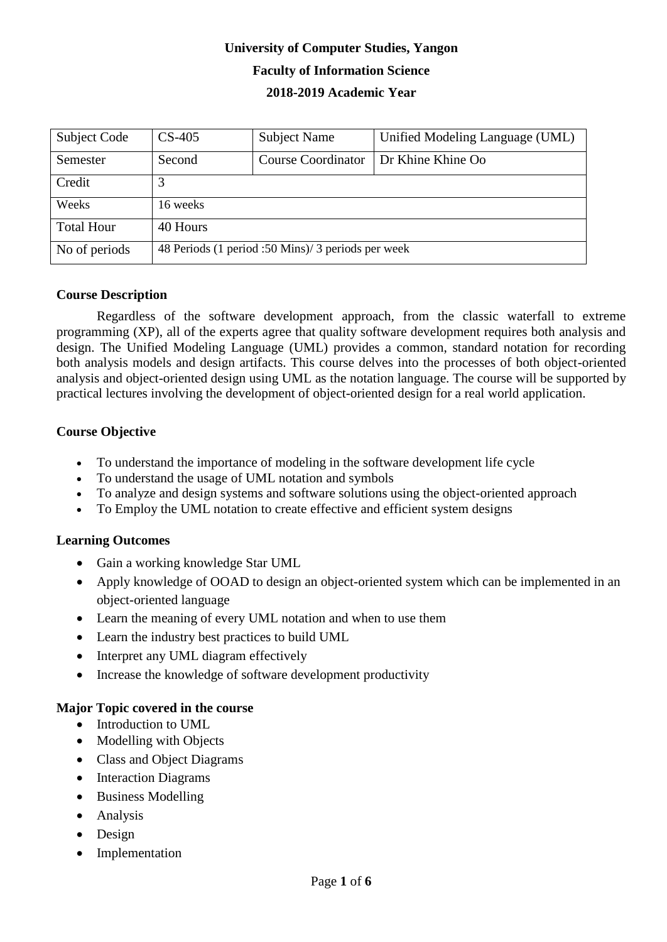# **University of Computer Studies, Yangon Faculty of Information Science 2018-2019 Academic Year**

| Subject Code      | $CS-405$                                           | <b>Subject Name</b>       | Unified Modeling Language (UML) |  |
|-------------------|----------------------------------------------------|---------------------------|---------------------------------|--|
| Semester          | Second                                             | <b>Course Coordinator</b> | Dr Khine Khine Oo               |  |
| Credit            |                                                    |                           |                                 |  |
| Weeks             | 16 weeks                                           |                           |                                 |  |
| <b>Total Hour</b> | 40 Hours                                           |                           |                                 |  |
| No of periods     | 48 Periods (1 period :50 Mins)/ 3 periods per week |                           |                                 |  |

### **Course Description**

Regardless of the software development approach, from the classic waterfall to extreme programming (XP), all of the experts agree that quality software development requires both analysis and design. The Unified Modeling Language (UML) provides a common, standard notation for recording both analysis models and design artifacts. This course delves into the processes of both object-oriented analysis and object-oriented design using UML as the notation language. The course will be supported by practical lectures involving the development of object-oriented design for a real world application.

### **Course Objective**

- To understand the importance of modeling in the software development life cycle
- To understand the usage of UML notation and symbols
- To analyze and design systems and software solutions using the object-oriented approach
- To Employ the UML notation to create effective and efficient system designs

### **Learning Outcomes**

- Gain a working knowledge Star UML
- Apply knowledge of OOAD to design an object-oriented system which can be implemented in an object-oriented language
- Learn the meaning of every UML notation and when to use them
- Learn the industry best practices to build UML
- Interpret any UML diagram effectively
- Increase the knowledge of software development productivity

### **Major Topic covered in the course**

- Introduction to UML
- Modelling with Objects
- Class and Object Diagrams
- Interaction Diagrams
- Business Modelling
- Analysis
- Design
- Implementation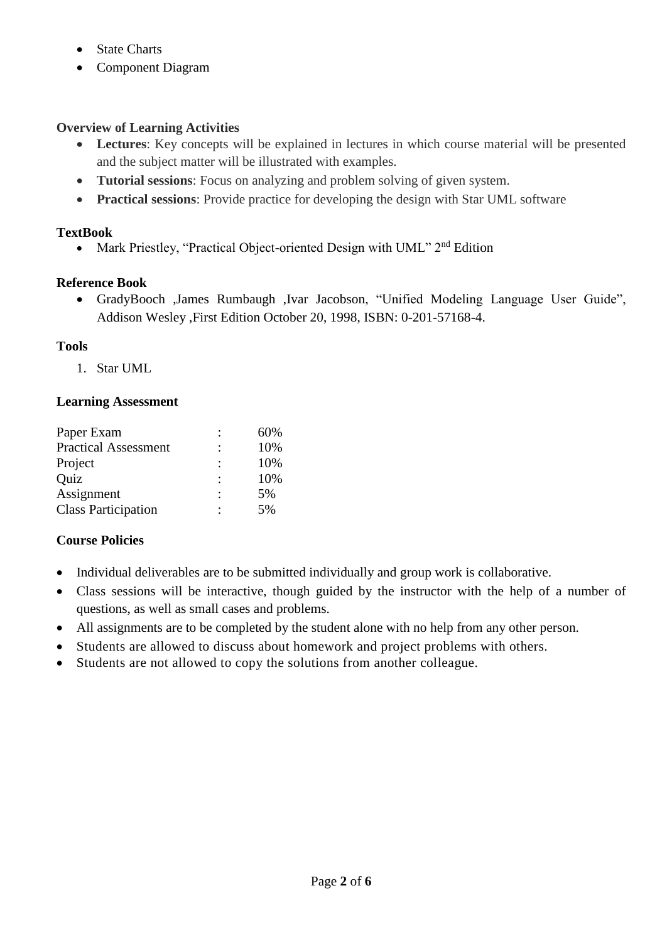- State Charts
- Component Diagram

# **Overview of Learning Activities**

- **Lectures**: Key concepts will be explained in lectures in which course material will be presented and the subject matter will be illustrated with examples.
- **Tutorial sessions**: Focus on analyzing and problem solving of given system.
- **Practical sessions**: Provide practice for developing the design with Star UML software

# **TextBook**

• Mark Priestley, "Practical Object-oriented Design with UML" 2<sup>nd</sup> Edition

# **Reference Book**

 GradyBooch ,James Rumbaugh ,Ivar Jacobson, "Unified Modeling Language User Guide", Addison Wesley ,First Edition October 20, 1998, ISBN: 0-201-57168-4.

# **Tools**

1. Star UML

### **Learning Assessment**

| 60% |
|-----|
| 10% |
| 10% |
| 10% |
| 5%  |
| 5%  |
|     |

# **Course Policies**

- Individual deliverables are to be submitted individually and group work is collaborative.
- Class sessions will be interactive, though guided by the instructor with the help of a number of questions, as well as small cases and problems.
- All assignments are to be completed by the student alone with no help from any other person.
- Students are allowed to discuss about homework and project problems with others.
- Students are not allowed to copy the solutions from another colleague.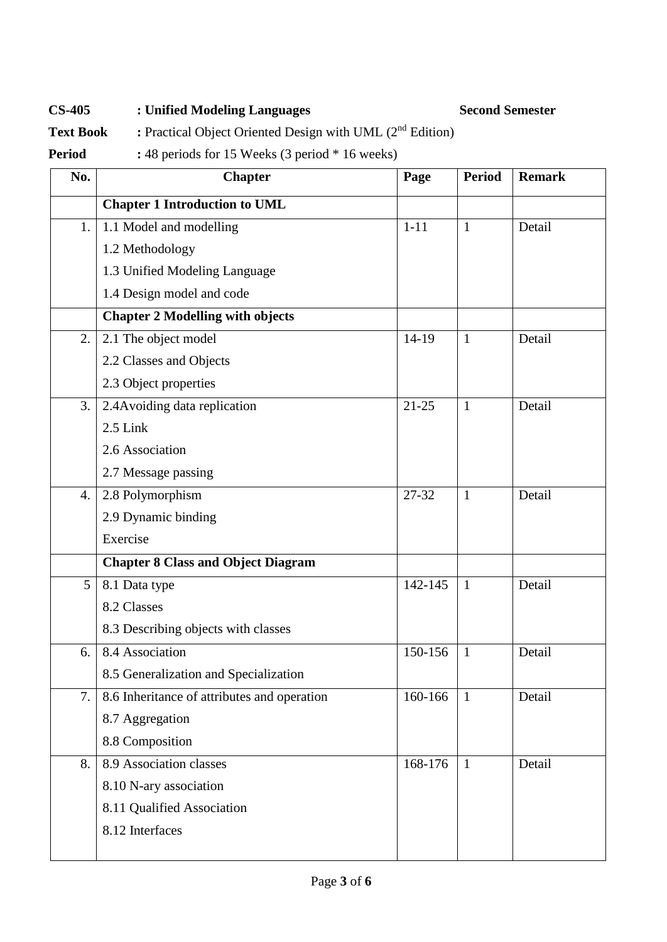**CS-405 : Unified Modeling Languages Second Semester**

**Text Book :** Practical Object Oriented Design with UML (2<sup>nd</sup> Edition)

**Period :** 48 periods for 15 Weeks (3 period \* 16 weeks)

| No. | <b>Chapter</b>                              | Page      | <b>Period</b> | <b>Remark</b> |
|-----|---------------------------------------------|-----------|---------------|---------------|
|     | <b>Chapter 1 Introduction to UML</b>        |           |               |               |
| 1.  | 1.1 Model and modelling                     | $1 - 11$  | $\mathbf{1}$  | Detail        |
|     | 1.2 Methodology                             |           |               |               |
|     | 1.3 Unified Modeling Language               |           |               |               |
|     | 1.4 Design model and code                   |           |               |               |
|     | <b>Chapter 2 Modelling with objects</b>     |           |               |               |
| 2.  | 2.1 The object model                        | $14-19$   | $\mathbf{1}$  | Detail        |
|     | 2.2 Classes and Objects                     |           |               |               |
|     | 2.3 Object properties                       |           |               |               |
| 3.  | 2.4 Avoiding data replication               | $21 - 25$ | $\mathbf{1}$  | Detail        |
|     | $2.5$ Link                                  |           |               |               |
|     | 2.6 Association                             |           |               |               |
|     | 2.7 Message passing                         |           |               |               |
| 4.  | 2.8 Polymorphism                            | 27-32     | $\mathbf{1}$  | Detail        |
|     | 2.9 Dynamic binding                         |           |               |               |
|     | Exercise                                    |           |               |               |
|     | <b>Chapter 8 Class and Object Diagram</b>   |           |               |               |
| 5   | 8.1 Data type                               | 142-145   | $\mathbf{1}$  | Detail        |
|     | 8.2 Classes                                 |           |               |               |
|     | 8.3 Describing objects with classes         |           |               |               |
| 6.  | 8.4 Association                             | 150-156   | $\mathbf{1}$  | Detail        |
|     | 8.5 Generalization and Specialization       |           |               |               |
| 7.  | 8.6 Inheritance of attributes and operation | 160-166   | $\mathbf{1}$  | Detail        |
|     | 8.7 Aggregation                             |           |               |               |
|     | 8.8 Composition                             |           |               |               |
| 8.  | 8.9 Association classes                     | 168-176   | $\mathbf{1}$  | Detail        |
|     | 8.10 N-ary association                      |           |               |               |
|     | 8.11 Qualified Association                  |           |               |               |
|     | 8.12 Interfaces                             |           |               |               |
|     |                                             |           |               |               |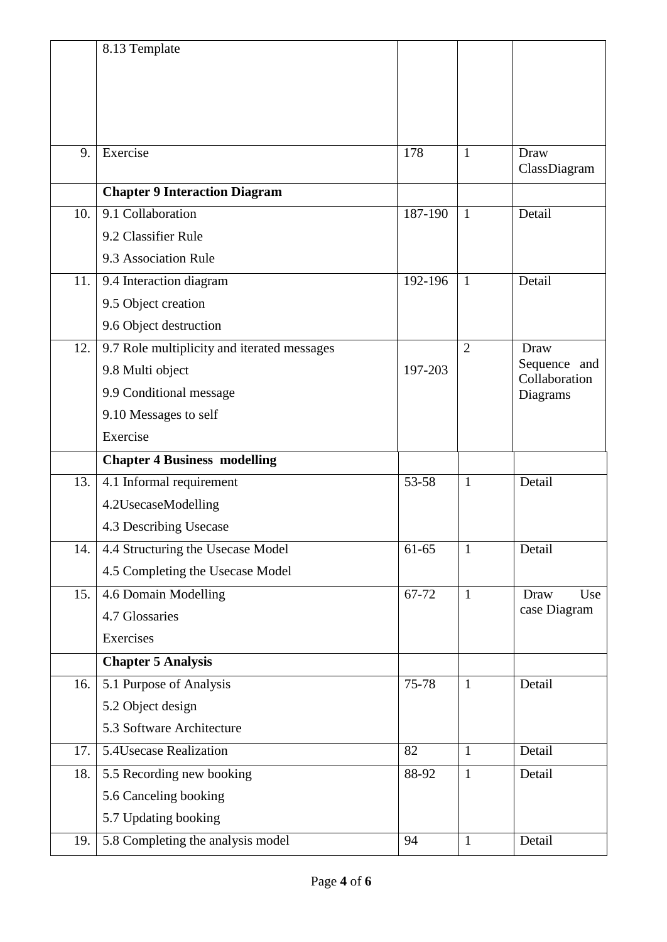|     | 8.13 Template                               |         |                |                               |
|-----|---------------------------------------------|---------|----------------|-------------------------------|
|     |                                             |         |                |                               |
|     |                                             |         |                |                               |
|     |                                             |         |                |                               |
|     |                                             |         |                |                               |
| 9.  | Exercise                                    | 178     | $\mathbf{1}$   | Draw<br>ClassDiagram          |
|     | <b>Chapter 9 Interaction Diagram</b>        |         |                |                               |
| 10. | 9.1 Collaboration                           | 187-190 | $\mathbf{1}$   | Detail                        |
|     | 9.2 Classifier Rule                         |         |                |                               |
|     | 9.3 Association Rule                        |         |                |                               |
| 11. | 9.4 Interaction diagram                     | 192-196 | $\mathbf{1}$   | Detail                        |
|     | 9.5 Object creation                         |         |                |                               |
|     | 9.6 Object destruction                      |         |                |                               |
| 12. | 9.7 Role multiplicity and iterated messages |         | $\overline{2}$ | Draw                          |
|     | 9.8 Multi object                            | 197-203 |                | Sequence and<br>Collaboration |
|     | 9.9 Conditional message                     |         |                | Diagrams                      |
|     | 9.10 Messages to self                       |         |                |                               |
|     | Exercise                                    |         |                |                               |
|     | <b>Chapter 4 Business modelling</b>         |         |                |                               |
|     |                                             |         | $\mathbf{1}$   | Detail                        |
| 13. | 4.1 Informal requirement                    | 53-58   |                |                               |
|     | 4.2UsecaseModelling                         |         |                |                               |
|     | 4.3 Describing Usecase                      |         |                |                               |
| 14. | 4.4 Structuring the Usecase Model           | 61-65   | $\mathbf{1}$   | Detail                        |
|     | 4.5 Completing the Usecase Model            |         |                |                               |
| 15. | 4.6 Domain Modelling                        | 67-72   | $\mathbf{1}$   | Use<br>Draw                   |
|     | 4.7 Glossaries                              |         |                | case Diagram                  |
|     | Exercises                                   |         |                |                               |
|     | <b>Chapter 5 Analysis</b>                   |         |                |                               |
| 16. | 5.1 Purpose of Analysis                     | 75-78   | $\mathbf{1}$   | Detail                        |
|     | 5.2 Object design                           |         |                |                               |
|     | 5.3 Software Architecture                   |         |                |                               |
| 17. | 5.4Usecase Realization                      | 82      | $\mathbf{1}$   | Detail                        |
| 18. | 5.5 Recording new booking                   | 88-92   | $\mathbf{1}$   | Detail                        |
|     | 5.6 Canceling booking                       |         |                |                               |
|     | 5.7 Updating booking                        |         |                |                               |
| 19. | 5.8 Completing the analysis model           | 94      | $\mathbf{1}$   | Detail                        |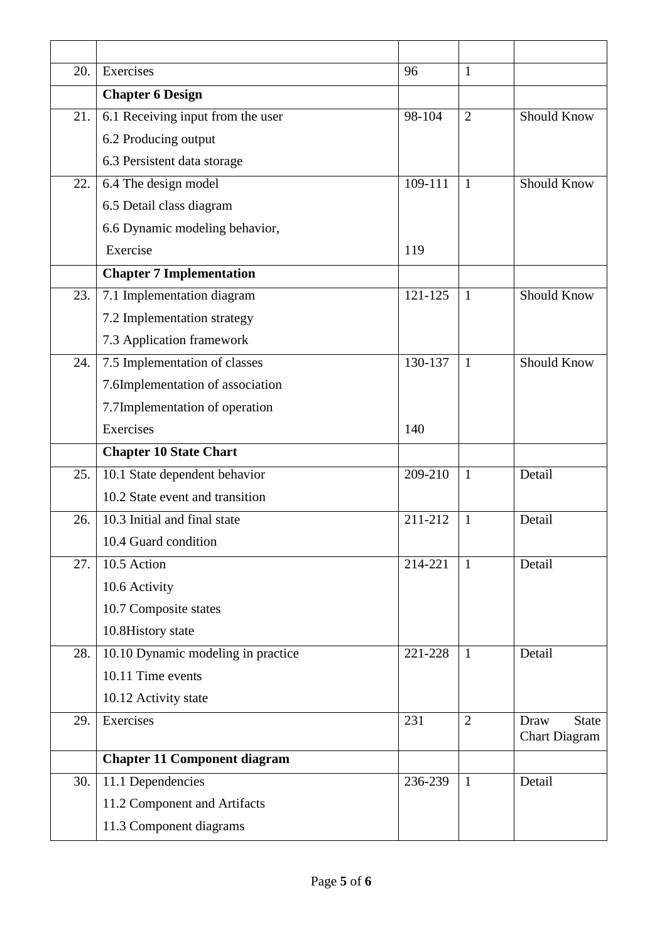| 20. | Exercises                           | 96      | $\mathbf{1}$   |                      |
|-----|-------------------------------------|---------|----------------|----------------------|
|     | <b>Chapter 6 Design</b>             |         |                |                      |
| 21. | 6.1 Receiving input from the user   | 98-104  | $\overline{2}$ | Should Know          |
|     | 6.2 Producing output                |         |                |                      |
|     | 6.3 Persistent data storage         |         |                |                      |
| 22. | 6.4 The design model                | 109-111 | $\overline{1}$ | <b>Should Know</b>   |
|     | 6.5 Detail class diagram            |         |                |                      |
|     | 6.6 Dynamic modeling behavior,      |         |                |                      |
|     | Exercise                            | 119     |                |                      |
|     | <b>Chapter 7 Implementation</b>     |         |                |                      |
| 23. | 7.1 Implementation diagram          | 121-125 | $\mathbf{1}$   | <b>Should Know</b>   |
|     | 7.2 Implementation strategy         |         |                |                      |
|     | 7.3 Application framework           |         |                |                      |
| 24. | 7.5 Implementation of classes       | 130-137 | $\mathbf{1}$   | <b>Should Know</b>   |
|     | 7.6Implementation of association    |         |                |                      |
|     | 7.7Implementation of operation      |         |                |                      |
|     | Exercises                           | 140     |                |                      |
|     |                                     |         |                |                      |
|     | <b>Chapter 10 State Chart</b>       |         |                |                      |
| 25. | 10.1 State dependent behavior       | 209-210 | $\mathbf{1}$   | Detail               |
|     | 10.2 State event and transition     |         |                |                      |
| 26. | 10.3 Initial and final state        | 211-212 | $\mathbf{1}$   | Detail               |
|     | 10.4 Guard condition                |         |                |                      |
| 27. | 10.5 Action                         | 214-221 | 1              | Detail               |
|     | 10.6 Activity                       |         |                |                      |
|     | 10.7 Composite states               |         |                |                      |
|     | 10.8History state                   |         |                |                      |
| 28. | 10.10 Dynamic modeling in practice  | 221-228 | $\mathbf{1}$   | Detail               |
|     | 10.11 Time events                   |         |                |                      |
|     | 10.12 Activity state                |         |                |                      |
| 29. | Exercises                           | 231     | $\overline{2}$ | <b>State</b><br>Draw |
|     |                                     |         |                | <b>Chart Diagram</b> |
|     | <b>Chapter 11 Component diagram</b> |         |                |                      |
| 30. | 11.1 Dependencies                   | 236-239 | 1              | Detail               |
|     | 11.2 Component and Artifacts        |         |                |                      |